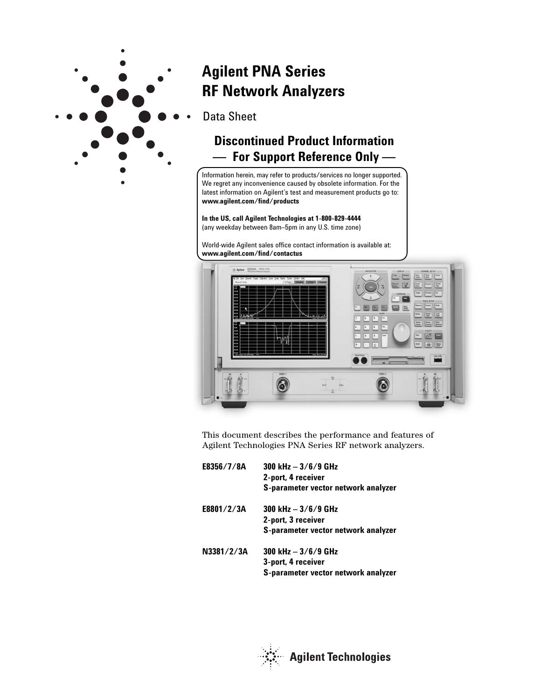

# **Agilent PNA Series RF Network Analyzers**

Data Sheet

## **Discontinued Product Information — For Support Reference Only —**

Information herein, may refer to products/services no longer supported. We regret any inconvenience caused by obsolete information. For the latest information on Agilent's test and measurement products go to: **www.agilent.com/find/products**

**In the US, call Agilent Technologies at 1-800-829-4444**  (any weekday between 8am–5pm in any U.S. time zone)

World-wide Agilent sales office contact information is available at: **www.agilent.com/find/contactus**



This document describes the performance and features of Agilent Technologies PNA Series RF network analyzers.

| E8356/7/8A | 300 kHz $-3/6/9$ GHz<br>2-port, 4 receiver |
|------------|--------------------------------------------|
|            | S-parameter vector network analyzer        |
| E8801/2/3A | 300 kHz $-3/6/9$ GHz                       |
|            | 2-port, 3 receiver                         |
|            | S-parameter vector network analyzer        |
| N3381/2/3A | 300 kHz $-3/6/9$ GHz                       |
|            | 3-port, 4 receiver                         |
|            | S-parameter vector network analyzer        |

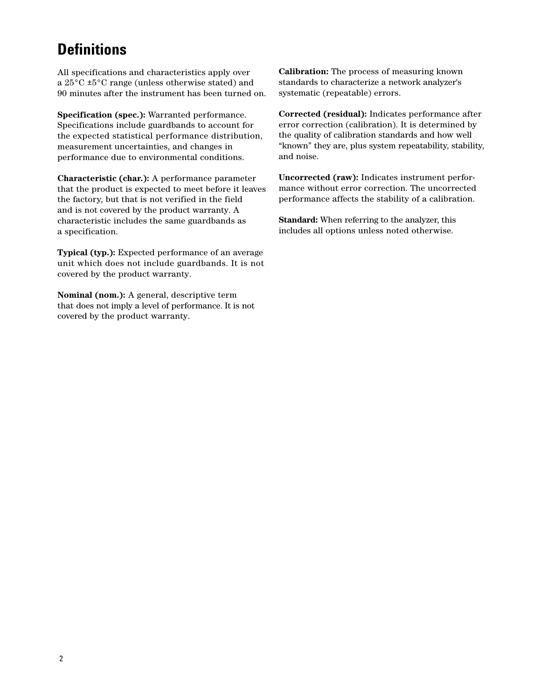# **Definitions**

All specifications and characteristics apply over a 25°C ±5°C range (unless otherwise stated) and 90 minutes after the instrument has been turned on.

**Specification (spec.):** Warranted performance. Specifications include guardbands to account for the expected statistical performance distribution, measurement uncertainties, and changes in performance due to environmental conditions.

**Characteristic (char.):** A performance parameter that the product is expected to meet before it leaves the factory, but that is not verified in the field and is not covered by the product warranty. A characteristic includes the same guardbands as a specification.

**Typical (typ.):** Expected performance of an average unit which does not include guardbands. It is not covered by the product warranty.

**Nominal (nom.):** A general, descriptive term that does not imply a level of performance. It is not covered by the product warranty.

**Calibration:** The process of measuring known standards to characterize a network analyzer's systematic (repeatable) errors.

**Corrected (residual):** Indicates performance after error correction (calibration). It is determined by the quality of calibration standards and how well "known" they are, plus system repeatability, stability, and noise.

**Uncorrected (raw):** Indicates instrument performance without error correction. The uncorrected performance affects the stability of a calibration.

**Standard:** When referring to the analyzer, this includes all options unless noted otherwise.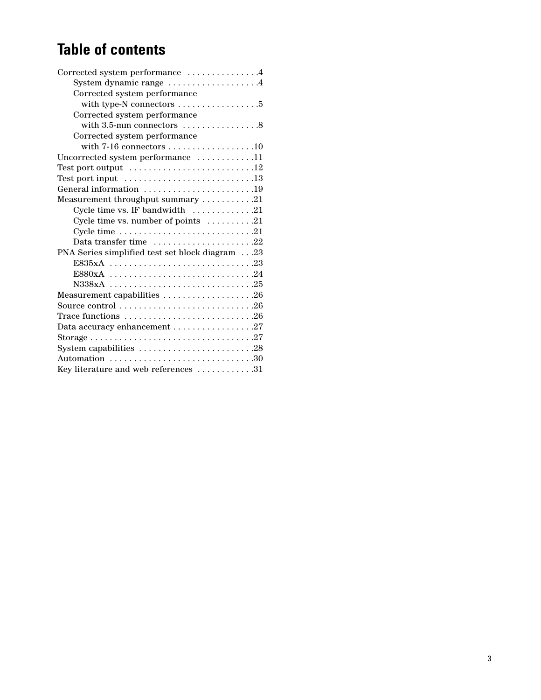# **Table of contents**

| Corrected system performance 4                                                      |
|-------------------------------------------------------------------------------------|
| System dynamic range 4                                                              |
| Corrected system performance                                                        |
| with type-N connectors $\dots\dots\dots\dots\dots\dots$                             |
| Corrected system performance                                                        |
| with $3.5$ -mm connectors $\dots\dots\dots\dots\dots$ .8                            |
| Corrected system performance                                                        |
| with $7-16$ connectors 10                                                           |
| Uncorrected system performance 11                                                   |
| Test port output $\dots \dots \dots \dots \dots \dots \dots \dots \dots \dots 12$   |
| Test port input $\dots\dots\dots\dots\dots\dots\dots\dots\dots\dots$                |
| General information 19                                                              |
| Measurement throughput summary $\dots\dots\dots 21$                                 |
| Cycle time vs. IF bandwidth $\dots \dots \dots \dots 21$                            |
| Cycle time vs. number of points $\dots \dots \dots 21$                              |
|                                                                                     |
| Data transfer time $\dots\dots\dots\dots\dots\dots 22$                              |
| PNA Series simplified test set block diagram23                                      |
|                                                                                     |
|                                                                                     |
|                                                                                     |
|                                                                                     |
|                                                                                     |
| Trace functions $\ldots \ldots \ldots \ldots \ldots \ldots \ldots \ldots \ldots 26$ |
|                                                                                     |
|                                                                                     |
| System capabilities 28                                                              |
| Automation 30                                                                       |
| Key literature and web references 31                                                |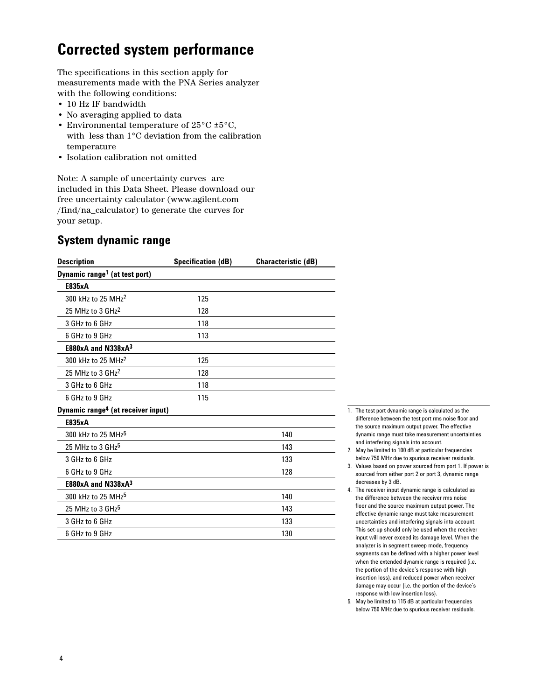## **Corrected system performance**

The specifications in this section apply for measurements made with the PNA Series analyzer with the following conditions:

- 10 Hz IF bandwidth
- No averaging applied to data
- Environmental temperature of 25°C ±5°C, with less than 1°C deviation from the calibration temperature
- Isolation calibration not omitted

Note: A sample of uncertainty curves are included in this Data Sheet. Please download our free uncertainty calculator (www.agilent.com /find/na\_calculator) to generate the curves for your setup.

## **System dynamic range**

| <b>Description</b>                             | <b>Specification (dB)</b> | <b>Characteristic (dB)</b> |
|------------------------------------------------|---------------------------|----------------------------|
| Dynamic range <sup>1</sup> (at test port)      |                           |                            |
| E835xA                                         |                           |                            |
| 300 kHz to 25 MHz <sup>2</sup>                 | 125                       |                            |
| 25 MHz to 3 GHz <sup>2</sup>                   | 128                       |                            |
| 3 GHz to 6 GHz                                 | 118                       |                            |
| 6 GHz to 9 GHz                                 | 113                       |                            |
| $E880xA$ and $N338xA^3$                        |                           |                            |
| 300 kHz to 25 MHz <sup>2</sup>                 | 125                       |                            |
| 25 MHz to 3 GHz <sup>2</sup>                   | 128                       |                            |
| 3 GHz to 6 GHz                                 | 118                       |                            |
| 6 GHz to 9 GHz                                 | 115                       |                            |
| Dynamic range <sup>4</sup> (at receiver input) |                           |                            |
| E835xA                                         |                           |                            |
| 300 kHz to 25 MHz <sup>5</sup>                 |                           | 140                        |
| 25 MHz to 3 $GHz5$                             |                           | 143                        |
| 3 GHz to 6 GHz                                 |                           | 133                        |
| 6 GHz to 9 GHz                                 |                           | 128                        |
| $E880xA$ and $N338xA^3$                        |                           |                            |
| 300 kHz to 25 MHz <sup>5</sup>                 |                           | 140                        |
| 25 MHz to 3 $GHz5$                             |                           | 143                        |
| 3 GHz to 6 GHz                                 |                           | 133                        |
| 6 GHz to 9 GHz                                 |                           | 130                        |

- 1. The test port dynamic range is calculated as the difference between the test port rms noise floor and the source maximum output power. The effective dynamic range must take measurement uncertainties and interfering signals into account.
- 2. May be limited to 100 dB at particular frequencies below 750 MHz due to spurious receiver residuals.
- 3. Values based on power sourced from port 1. If power is sourced from either port 2 or port 3, dynamic range decreases by 3 dB.
- 4. The receiver input dynamic range is calculated as the difference between the receiver rms noise floor and the source maximum output power. The effective dynamic range must take measurement uncertainties and interfering signals into account. This set-up should only be used when the receiver input will never exceed its damage level. When the analyzer is in segment sweep mode, frequency segments can be defined with a higher power level when the extended dynamic range is required (i.e. the portion of the device's response with high insertion loss), and reduced power when receiver damage may occur (i.e. the portion of the device's response with low insertion loss).
- 5. May be limited to 115 dB at particular frequencies below 750 MHz due to spurious receiver residuals.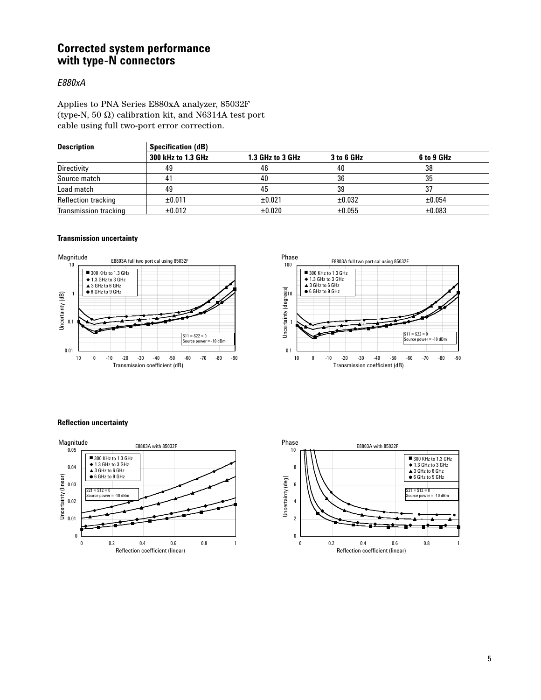## **Corrected system performance with type-N connectors**

#### *E880xA*

Applies to PNA Series E880xA analyzer, 85032F (type-N, 50 Ω) calibration kit, and N6314A test port cable using full two-port error correction.

| <b>Description</b>           | <b>Specification (dB)</b> |                  |             |            |  |  |
|------------------------------|---------------------------|------------------|-------------|------------|--|--|
|                              | 300 kHz to 1.3 GHz        | 1.3 GHz to 3 GHz | 3 to 6 GHz  | 6 to 9 GHz |  |  |
| Directivity                  | 49                        | 46               | 40          | 38         |  |  |
| Source match                 | 41                        | 40               | 36          | 35         |  |  |
| Load match                   | 49                        | 45               | 39          | 37         |  |  |
| <b>Reflection tracking</b>   | ±0.011                    | ±0.021           | $\pm 0.032$ | ±0.054     |  |  |
| <b>Transmission tracking</b> | $\pm 0.012$               | $\pm 0.020$      | $\pm 0.055$ | ±0.083     |  |  |

#### **Transmission uncertainty**







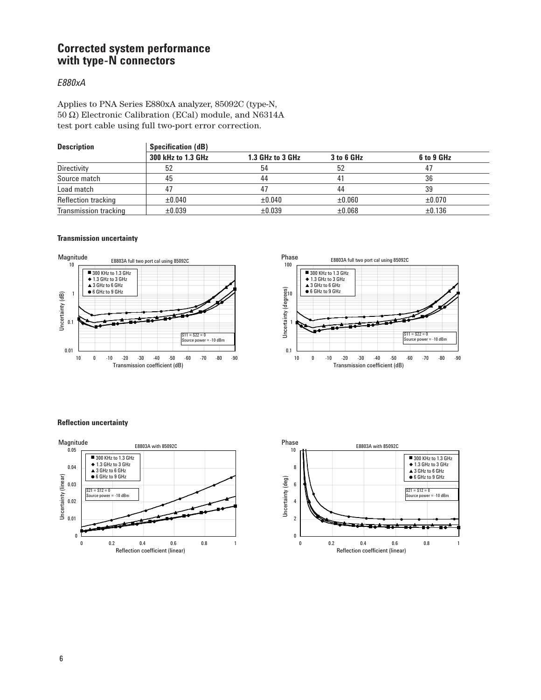## **Corrected system performance with type-N connectors**

#### *E880xA*

Applies to PNA Series E880xA analyzer, 85092C (type-N, 50 Ω) Electronic Calibration (ECal) module, and N6314A test port cable using full two-port error correction.

| <b>Description</b>    | <b>Specification (dB)</b> |                  |             |             |  |  |
|-----------------------|---------------------------|------------------|-------------|-------------|--|--|
|                       | 300 kHz to 1.3 GHz        | 1.3 GHz to 3 GHz | 3 to 6 GHz  | 6 to 9 GHz  |  |  |
| Directivity           | 52                        | 54               | 52          | 47          |  |  |
| Source match          | 45                        | 44               |             | 36          |  |  |
| Load match            |                           | 47               | 44          | 39          |  |  |
| Reflection tracking   | ±0.040                    | $\pm 0.040$      | $\pm 0.060$ | $\pm 0.070$ |  |  |
| Transmission tracking | $\pm 0.039$               | $\pm 0.039$      | $\pm 0.068$ | ±0.136      |  |  |

#### **Transmission uncertainty**







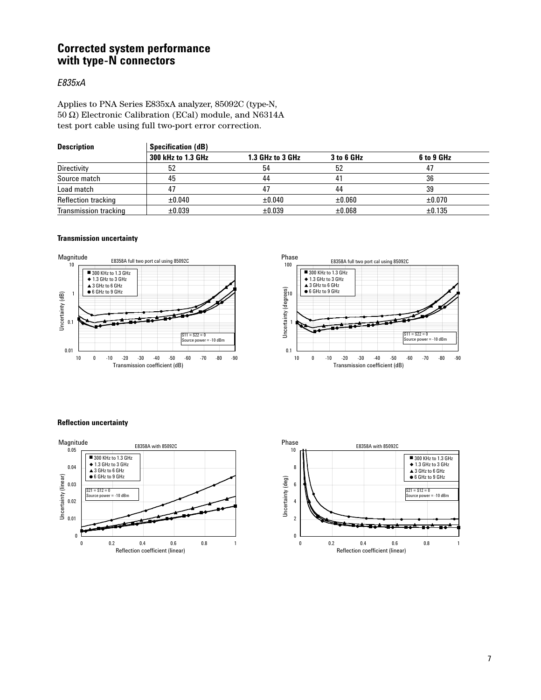## **Corrected system performance with type-N connectors**

### *E835xA*

Applies to PNA Series E835xA analyzer, 85092C (type-N, 50 Ω) Electronic Calibration (ECal) module, and N6314A test port cable using full two-port error correction.

| <b>Description</b>    | <b>Specification (dB)</b> |                  |             |             |  |  |
|-----------------------|---------------------------|------------------|-------------|-------------|--|--|
|                       | 300 kHz to 1.3 GHz        | 1.3 GHz to 3 GHz | 3 to 6 GHz  | 6 to 9 GHz  |  |  |
| Directivity           | 52                        | 54               | 52          | 47          |  |  |
| Source match          | 45                        | 44               |             | 36          |  |  |
| Load match            | 47                        | 47               | 44          | 39          |  |  |
| Reflection tracking   | $\pm 0.040$               | $\pm 0.040$      | $\pm 0.060$ | $\pm 0.070$ |  |  |
| Transmission tracking | $\pm 0.039$               | $\pm 0.039$      | $\pm 0.068$ | ±0.135      |  |  |

#### **Transmission uncertainty**







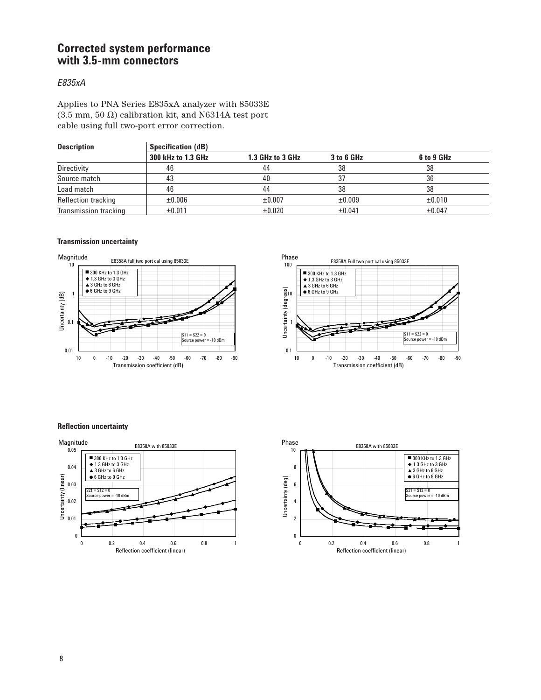## **Corrected system performance with 3.5-mm connectors**

### *E835xA*

Applies to PNA Series E835xA analyzer with 85033E (3.5 mm, 50  $\Omega$ ) calibration kit, and N6314A test port cable using full two-port error correction.

| <b>Description</b>    | <b>Specification (dB)</b> |                  |             |            |  |
|-----------------------|---------------------------|------------------|-------------|------------|--|
|                       | 300 kHz to 1.3 GHz        | 1.3 GHz to 3 GHz | 3 to 6 GHz  | 6 to 9 GHz |  |
| Directivity           | 46                        | 44               | 38          | 38         |  |
| Source match          | 43                        | 40               |             | 36         |  |
| Load match            | 46                        | 44               | 38          | 38         |  |
| Reflection tracking   | $\pm 0.006$               | $\pm 0.007$      | $\pm 0.009$ | ±0.010     |  |
| Transmission tracking | ±0.011                    | $\pm 0.020$      | ±0.041      | ±0.047     |  |

#### **Transmission uncertainty**







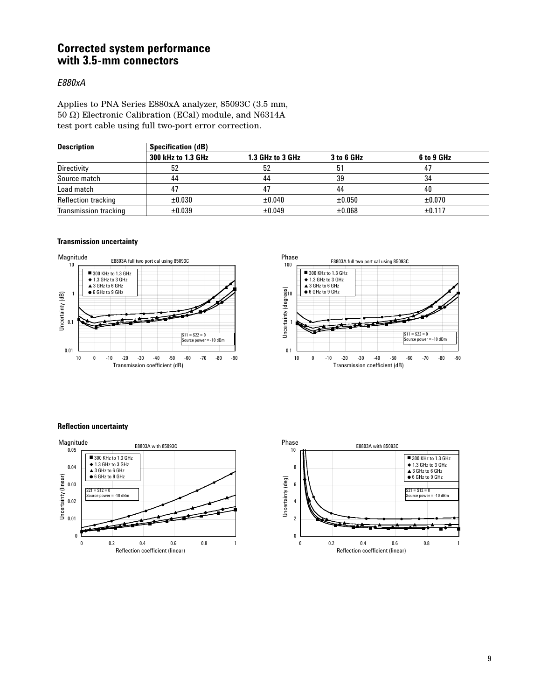## **Corrected system performance with 3.5-mm connectors**

#### *E880xA*

Applies to PNA Series E880xA analyzer, 85093C (3.5 mm, 50 Ω) Electronic Calibration (ECal) module, and N6314A test port cable using full two-port error correction.

| <b>Description</b>           | <b>Specification (dB)</b> |                  |             |             |  |  |
|------------------------------|---------------------------|------------------|-------------|-------------|--|--|
|                              | 300 kHz to 1.3 GHz        | 1.3 GHz to 3 GHz | 3 to 6 GHz  | 6 to 9 GHz  |  |  |
| Directivity                  | 52                        | 52               | 51          | 47          |  |  |
| Source match                 | 44                        | 44               | 39          | 34          |  |  |
| Load match                   | 47                        | 47               | 44          | 40          |  |  |
| Reflection tracking          | $\pm 0.030$               | $\pm 0.040$      | $\pm 0.050$ | $\pm 0.070$ |  |  |
| <b>Transmission tracking</b> | $\pm 0.039$               | ±0.049           | $\pm 0.068$ | ±0.117      |  |  |

#### **Transmission uncertainty**







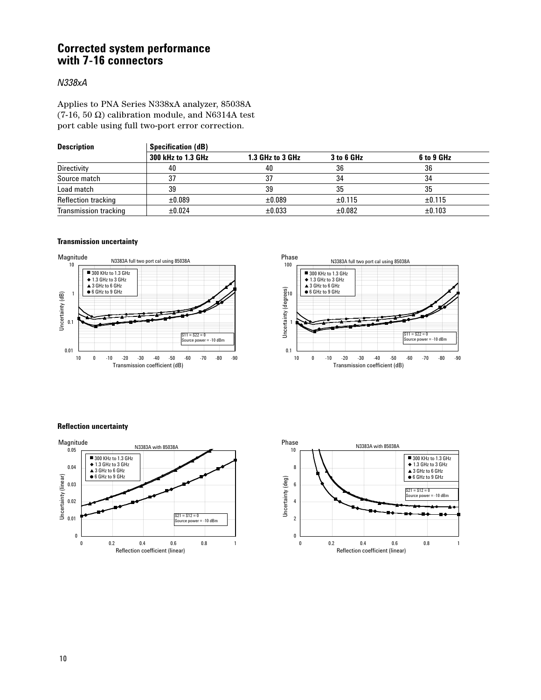## **Corrected system performance with 7-16 connectors**

#### *N338xA*

Applies to PNA Series N338xA analyzer, 85038A (7-16, 50  $\Omega$ ) calibration module, and N6314A test port cable using full two-port error correction.

| <b>Description</b>    | <b>Specification (dB)</b> |                  |            |            |  |  |
|-----------------------|---------------------------|------------------|------------|------------|--|--|
|                       | 300 kHz to 1.3 GHz        | 1.3 GHz to 3 GHz | 3 to 6 GHz | 6 to 9 GHz |  |  |
| Directivity           | 40                        | 40               | 36         | 36         |  |  |
| Source match          | 37                        | 37               | 34         | 34         |  |  |
| Load match            | 39                        | 39               | 35         | 35         |  |  |
| Reflection tracking   | $\pm 0.089$               | ±0.089           | ±0.115     | ±0.115     |  |  |
| Transmission tracking | $\pm 0.024$               | $\pm 0.033$      | ±0.082     | ±0.103     |  |  |

#### **Transmission uncertainty**







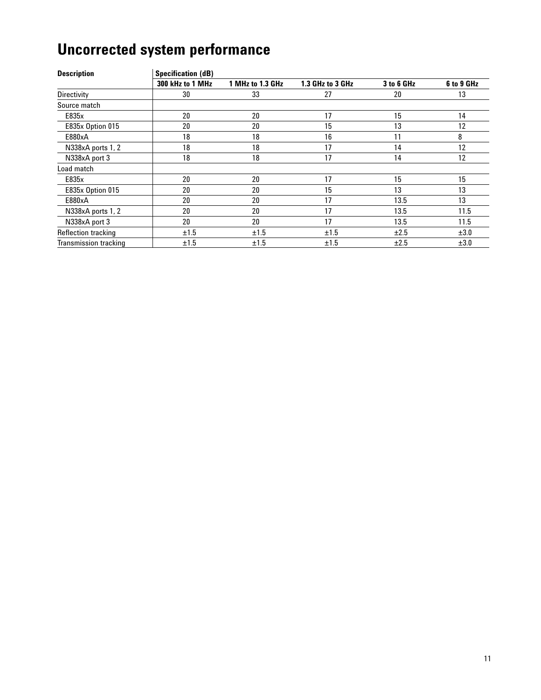# **Uncorrected system performance**

| <b>Description</b>           | <b>Specification (dB)</b> |                  |                  |            |            |
|------------------------------|---------------------------|------------------|------------------|------------|------------|
|                              | 300 kHz to 1 MHz          | 1 MHz to 1.3 GHz | 1.3 GHz to 3 GHz | 3 to 6 GHz | 6 to 9 GHz |
| Directivity                  | 30                        | 33               | 27               | 20         | 13         |
| Source match                 |                           |                  |                  |            |            |
| E835x                        | 20                        | 20               | 17               | 15         | 14         |
| E835x Option 015             | 20                        | 20               | 15               | 13         | 12         |
| E880xA                       | 18                        | 18               | 16               | 11         | 8          |
| N338xA ports 1, 2            | 18                        | 18               | 17               | 14         | 12         |
| N338xA port 3                | 18                        | 18               | 17               | 14         | 12         |
| Load match                   |                           |                  |                  |            |            |
| E835x                        | 20                        | 20               | 17               | 15         | 15         |
| E835x Option 015             | 20                        | 20               | 15               | 13         | 13         |
| E880xA                       | 20                        | 20               | 17               | 13.5       | 13         |
| N338xA ports 1, 2            | 20                        | 20               | 17               | 13.5       | 11.5       |
| N338xA port 3                | 20                        | 20               | 17               | 13.5       | 11.5       |
| Reflection tracking          | ±1.5                      | ±1.5             | ±1.5             | ±2.5       | ±3.0       |
| <b>Transmission tracking</b> | ±1.5                      | ±1.5             | ±1.5             | ±2.5       | ±3.0       |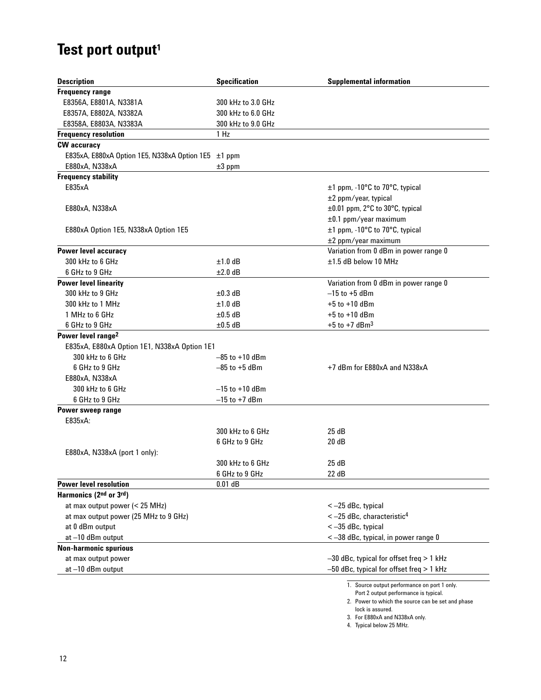# Test port output<sup>1</sup>

| <b>Description</b>                                       | <b>Specification</b> | <b>Supplemental information</b>              |
|----------------------------------------------------------|----------------------|----------------------------------------------|
| <b>Frequency range</b>                                   |                      |                                              |
| E8356A, E8801A, N3381A                                   | 300 kHz to 3.0 GHz   |                                              |
| E8357A, E8802A, N3382A                                   | 300 kHz to 6.0 GHz   |                                              |
| E8358A, E8803A, N3383A                                   | 300 kHz to 9.0 GHz   |                                              |
| <b>Frequency resolution</b>                              | 1 Hz                 |                                              |
| <b>CW</b> accuracy                                       |                      |                                              |
| E835xA, E880xA Option 1E5, N338xA Option 1E5 $\pm$ 1 ppm |                      |                                              |
| E880xA, N338xA                                           | $±3$ ppm             |                                              |
| <b>Frequency stability</b>                               |                      |                                              |
| E835xA                                                   |                      | ±1 ppm, -10°C to 70°C, typical               |
|                                                          |                      | ±2 ppm/year, typical                         |
| E880xA, N338xA                                           |                      | ±0.01 ppm, 2°C to 30°C, typical              |
|                                                          |                      | $\pm 0.1$ ppm/year maximum                   |
| E880xA Option 1E5, N338xA Option 1E5                     |                      | ±1 ppm, -10°C to 70°C, typical               |
|                                                          |                      | ±2 ppm/year maximum                          |
| Power level accuracy                                     |                      | Variation from 0 dBm in power range 0        |
| 300 kHz to 6 GHz                                         | $±1.0$ dB            | ±1.5 dB below 10 MHz                         |
| 6 GHz to 9 GHz                                           | $±2.0$ dB            |                                              |
| <b>Power level linearity</b>                             |                      | Variation from 0 dBm in power range 0        |
| 300 kHz to 9 GHz                                         | $\pm 0.3$ dB         | $-15$ to $+5$ dBm                            |
| 300 kHz to 1 MHz                                         | $±1.0$ dB            | $+5$ to $+10$ dBm                            |
| 1 MHz to 6 GHz                                           | $\pm 0.5$ dB         | $+5$ to $+10$ dBm                            |
| 6 GHz to 9 GHz                                           | $\pm 0.5$ dB         | $+5$ to $+7$ dBm <sup>3</sup>                |
| Power level range <sup>2</sup>                           |                      |                                              |
| E835xA, E880xA Option 1E1, N338xA Option 1E1             |                      |                                              |
| 300 kHz to 6 GHz                                         | $-85$ to $+10$ dBm   |                                              |
| 6 GHz to 9 GHz                                           | $-85$ to $+5$ dBm    | +7 dBm for E880xA and N338xA                 |
| E880xA, N338xA                                           |                      |                                              |
| 300 kHz to 6 GHz                                         | $-15$ to $+10$ dBm   |                                              |
| 6 GHz to 9 GHz                                           | $-15$ to $+7$ dBm    |                                              |
| Power sweep range                                        |                      |                                              |
| E835xA:                                                  |                      |                                              |
|                                                          | 300 kHz to 6 GHz     | 25 dB                                        |
|                                                          | 6 GHz to 9 GHz       | 20dB                                         |
| E880xA, N338xA (port 1 only):                            |                      |                                              |
|                                                          | 300 kHz to 6 GHz     | 25dB                                         |
|                                                          | 6 GHz to 9 GHz       | 22 dB                                        |
| <b>Power level resolution</b>                            | 0.01 dB              |                                              |
| Harmonics (2nd or 3rd)                                   |                      |                                              |
| at max output power $(< 25$ MHz)                         |                      | $<-25$ dBc, typical                          |
| at max output power (25 MHz to 9 GHz)                    |                      | $<-25$ dBc, characteristic <sup>4</sup>      |
| at 0 dBm output                                          |                      | $<-35$ dBc, typical                          |
| at-10 dBm output                                         |                      | < -38 dBc, typical, in power range 0         |
| <b>Non-harmonic spurious</b>                             |                      |                                              |
| at max output power                                      |                      | $-30$ dBc, typical for offset freq $> 1$ kHz |
| at-10 dBm output                                         |                      | $-50$ dBc, typical for offset freq $> 1$ kHz |
|                                                          |                      | 1. Source output performance on port 1 only. |

Port 2 output performance is typical. 2. Power to which the source can be set and phase lock is assured.

3. For E880xA and N338xA only.

4. Typical below 25 MHz.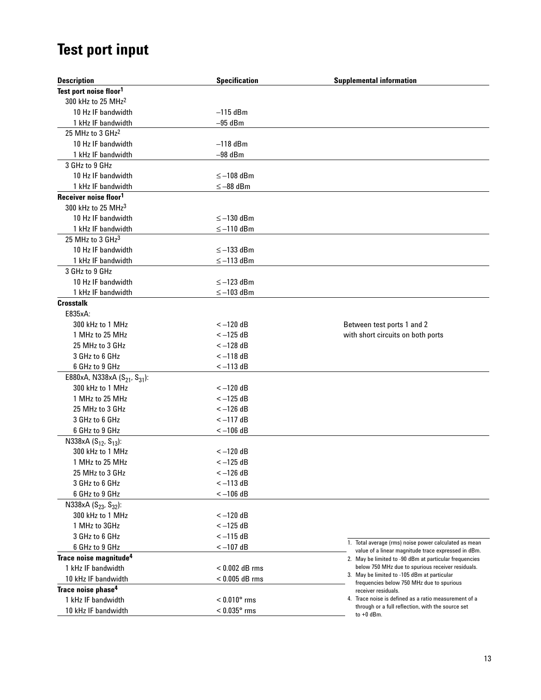# **Test port input**

| <b>Description</b>                                   | <b>Specification</b> | <b>Supplemental information</b>                                                                               |
|------------------------------------------------------|----------------------|---------------------------------------------------------------------------------------------------------------|
| Test port noise floor <sup>1</sup>                   |                      |                                                                                                               |
| 300 kHz to 25 MHz <sup>2</sup>                       |                      |                                                                                                               |
| 10 Hz IF bandwidth                                   | $-115$ dBm           |                                                                                                               |
| 1 kHz IF bandwidth                                   | $-95$ dBm            |                                                                                                               |
| 25 MHz to 3 GHz <sup>2</sup>                         |                      |                                                                                                               |
| 10 Hz IF bandwidth                                   | $-118$ dBm           |                                                                                                               |
| 1 kHz IF bandwidth                                   | $-98$ dBm            |                                                                                                               |
| 3 GHz to 9 GHz                                       |                      |                                                                                                               |
| 10 Hz IF bandwidth                                   | $\leq -108$ dBm      |                                                                                                               |
| 1 kHz IF bandwidth                                   | $\leq -88$ dBm       |                                                                                                               |
| Receiver noise floor <sup>1</sup>                    |                      |                                                                                                               |
| 300 kHz to 25 MHz <sup>3</sup>                       |                      |                                                                                                               |
| 10 Hz IF bandwidth                                   | $\leq -130$ dBm      |                                                                                                               |
| 1 kHz IF bandwidth                                   | $\leq -110$ dBm      |                                                                                                               |
| 25 MHz to 3 GHz <sup>3</sup>                         |                      |                                                                                                               |
| 10 Hz IF bandwidth                                   | $\le$ -133 dBm       |                                                                                                               |
| 1 kHz IF bandwidth                                   | $\leq -113$ dBm      |                                                                                                               |
| 3 GHz to 9 GHz                                       |                      |                                                                                                               |
| 10 Hz IF bandwidth                                   | $\leq -123$ dBm      |                                                                                                               |
| 1 kHz IF bandwidth                                   | $\leq -103$ dBm      |                                                                                                               |
| <b>Crosstalk</b>                                     |                      |                                                                                                               |
| E835xA:                                              |                      |                                                                                                               |
| 300 kHz to 1 MHz                                     | $<-120$ dB           | Between test ports 1 and 2                                                                                    |
| 1 MHz to 25 MHz                                      | $<-125$ dB           | with short circuits on both ports                                                                             |
| 25 MHz to 3 GHz                                      | $<-128$ dB           |                                                                                                               |
| 3 GHz to 6 GHz                                       | $<-118$ dB           |                                                                                                               |
| 6 GHz to 9 GHz                                       | $<-113$ dB           |                                                                                                               |
| E880xA, N338xA (S <sub>21</sub> , S <sub>31</sub> ): |                      |                                                                                                               |
| 300 kHz to 1 MHz                                     | $<-120$ dB           |                                                                                                               |
| 1 MHz to 25 MHz                                      | $<-125$ dB           |                                                                                                               |
| 25 MHz to 3 GHz                                      | $<-126$ dB           |                                                                                                               |
| 3 GHz to 6 GHz                                       | $<-117$ dB           |                                                                                                               |
| 6 GHz to 9 GHz                                       | $<-106$ dB           |                                                                                                               |
| N338xA (S <sub>12</sub> , S <sub>13</sub> ):         |                      |                                                                                                               |
| 300 kHz to 1 MHz                                     | $<-120$ dB           |                                                                                                               |
| 1 MHz to 25 MHz                                      | $<-125$ dB           |                                                                                                               |
| 25 MHz to 3 GHz                                      | $<-126$ dB           |                                                                                                               |
| 3 GHz to 6 GHz                                       | $<-113$ dB           |                                                                                                               |
| 6 GHz to 9 GHz                                       | $<-106$ dB           |                                                                                                               |
| N338xA $(S_{23}, S_{32})$ :                          |                      |                                                                                                               |
| 300 kHz to 1 MHz                                     | $<-120$ dB           |                                                                                                               |
| 1 MHz to 3GHz                                        | $<-125$ dB           |                                                                                                               |
| 3 GHz to 6 GHz                                       | $<-115$ dB           |                                                                                                               |
| 6 GHz to 9 GHz                                       | $<-107$ dB           | 1. Total average (rms) noise power calculated as mean                                                         |
| Trace noise magnitude <sup>4</sup>                   |                      | value of a linear magnitude trace expressed in dBm.<br>2. May be limited to -90 dBm at particular frequencies |
| 1 kHz IF bandwidth                                   | $< 0.002$ dB rms     | below 750 MHz due to spurious receiver residuals.                                                             |
| 10 kHz IF bandwidth                                  | $< 0.005$ dB rms     | 3. May be limited to -105 dBm at particular                                                                   |
| Trace noise phase <sup>4</sup>                       |                      | frequencies below 750 MHz due to spurious<br>receiver residuals.                                              |
| 1 kHz IF bandwidth                                   | $< 0.010$ ° rms      | 4. Trace noise is defined as a ratio measurement of a                                                         |
| 10 kHz IF bandwidth                                  | $< 0.035$ ° rms      | through or a full reflection, with the source set                                                             |
|                                                      |                      | to $+0$ dBm.                                                                                                  |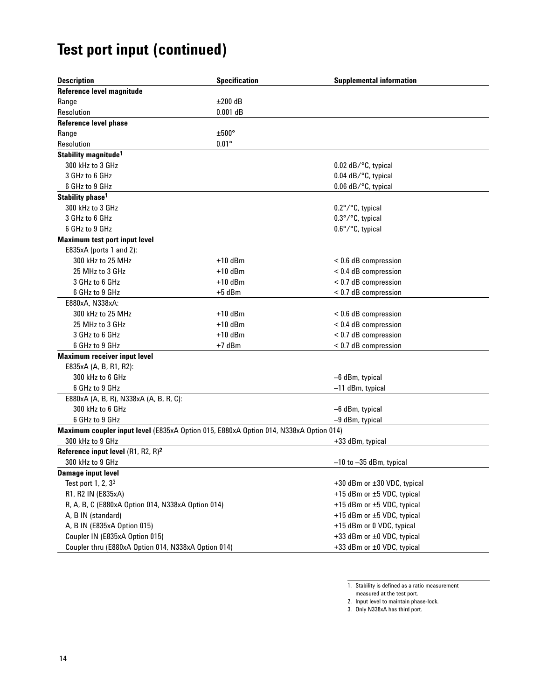| <b>Description</b>                                                                    | <b>Specification</b> | <b>Supplemental information</b>       |  |
|---------------------------------------------------------------------------------------|----------------------|---------------------------------------|--|
| Reference level magnitude                                                             |                      |                                       |  |
| Range                                                                                 | $\pm 200$ dB         |                                       |  |
| Resolution                                                                            | $0.001$ dB           |                                       |  |
| <b>Reference level phase</b>                                                          |                      |                                       |  |
| Range                                                                                 | $\pm 500^\circ$      |                                       |  |
| Resolution                                                                            | $0.01^\circ$         |                                       |  |
| Stability magnitude <sup>1</sup>                                                      |                      |                                       |  |
| 300 kHz to 3 GHz                                                                      |                      | $0.02$ dB/ $\degree$ C, typical       |  |
| 3 GHz to 6 GHz                                                                        |                      | 0.04 dB/°C, typical                   |  |
| 6 GHz to 9 GHz                                                                        |                      | $0.06$ dB/ $\degree$ C, typical       |  |
| Stability phase <sup>1</sup>                                                          |                      |                                       |  |
| 300 kHz to 3 GHz                                                                      |                      | $0.2^{\circ}$ / $^{\circ}$ C, typical |  |
| 3 GHz to 6 GHz                                                                        |                      | 0.3°/°C, typical                      |  |
| 6 GHz to 9 GHz                                                                        |                      | 0.6°/°C, typical                      |  |
| <b>Maximum test port input level</b>                                                  |                      |                                       |  |
| E835xA (ports 1 and 2):                                                               |                      |                                       |  |
| 300 kHz to 25 MHz                                                                     | $+10$ dBm            | < 0.6 dB compression                  |  |
| 25 MHz to 3 GHz                                                                       | $+10$ dBm            | $< 0.4$ dB compression                |  |
| 3 GHz to 6 GHz                                                                        | $+10$ dBm            | < 0.7 dB compression                  |  |
| 6 GHz to 9 GHz                                                                        | $+5$ dBm             | < 0.7 dB compression                  |  |
| E880xA, N338xA:                                                                       |                      |                                       |  |
| 300 kHz to 25 MHz                                                                     | $+10$ dBm            | < 0.6 dB compression                  |  |
| 25 MHz to 3 GHz                                                                       | $+10$ dBm            | $< 0.4$ dB compression                |  |
| 3 GHz to 6 GHz                                                                        | $+10$ dBm            | < 0.7 dB compression                  |  |
| 6 GHz to 9 GHz                                                                        | $+7$ dBm             | < 0.7 dB compression                  |  |
| <b>Maximum receiver input level</b>                                                   |                      |                                       |  |
| E835xA (A, B, R1, R2):                                                                |                      |                                       |  |
| 300 kHz to 6 GHz                                                                      |                      | -6 dBm, typical                       |  |
| 6 GHz to 9 GHz                                                                        |                      | $-11$ dBm, typical                    |  |
| E880xA (A, B, R), N338xA (A, B, R, C):                                                |                      |                                       |  |
| 300 kHz to 6 GHz                                                                      |                      | -6 dBm, typical                       |  |
| 6 GHz to 9 GHz                                                                        |                      | -9 dBm, typical                       |  |
| Maximum coupler input level (E835xA Option 015, E880xA Option 014, N338xA Option 014) |                      |                                       |  |
| 300 kHz to 9 GHz                                                                      |                      | +33 dBm, typical                      |  |
| Reference input level (R1, R2, R) <sup>2</sup>                                        |                      |                                       |  |
| 300 kHz to 9 GHz                                                                      |                      | $-10$ to $-35$ dBm, typical           |  |
| <b>Damage input level</b>                                                             |                      |                                       |  |
| Test port 1, 2, 3 <sup>3</sup>                                                        |                      | +30 dBm or ±30 VDC, typical           |  |
| R1, R2 IN (E835xA)                                                                    |                      | +15 dBm or ±5 VDC, typical            |  |
| R, A, B, C (E880xA Option 014, N338xA Option 014)                                     |                      | +15 dBm or ±5 VDC, typical            |  |
| A, B IN (standard)                                                                    |                      | +15 dBm or ±5 VDC, typical            |  |
| A, B IN (E835xA Option 015)                                                           |                      | +15 dBm or 0 VDC, typical             |  |
| Coupler IN (E835xA Option 015)                                                        |                      | +33 dBm or ±0 VDC, typical            |  |
| Coupler thru (E880xA Option 014, N338xA Option 014)                                   |                      | +33 dBm or ±0 VDC, typical            |  |

1. Stability is defined as a ratio measurement

- measured at the test port.
- 2. Input level to maintain phase-lock.

<sup>3.</sup> Only N338xA has third port.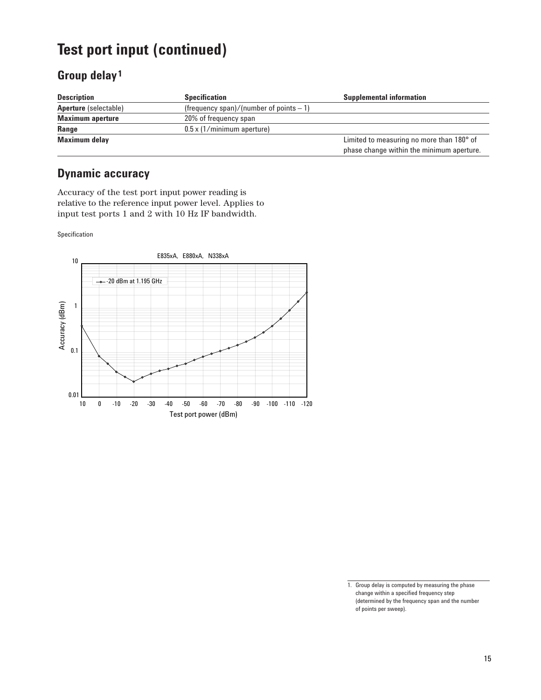## **Group delay 1**

| <b>Description</b>           | <b>Specification</b>                      | <b>Supplemental information</b>           |
|------------------------------|-------------------------------------------|-------------------------------------------|
| <b>Aperture</b> (selectable) | (frequency span)/(number of points $-1$ ) |                                           |
| <b>Maximum aperture</b>      | 20% of frequency span                     |                                           |
| Range                        | $0.5 \times (1/m$ inimum aperture)        |                                           |
| <b>Maximum delay</b>         |                                           | Limited to measuring no more than 180° of |
|                              |                                           | phase change within the minimum aperture. |

## **Dynamic accuracy**

Accuracy of the test port input power reading is relative to the reference input power level. Applies to input test ports 1 and 2 with 10 Hz IF bandwidth.

Specification



<sup>1.</sup> Group delay is computed by measuring the phase change within a specified frequency step (determined by the frequency span and the number of points per sweep).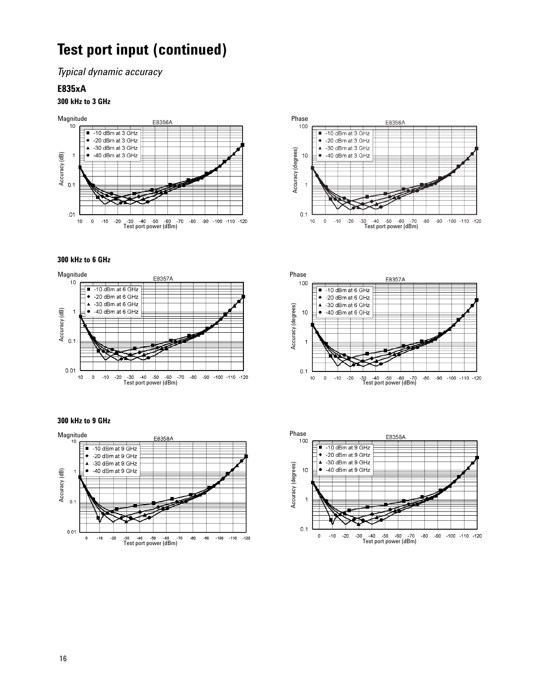*Typical dynamic accuracy*

#### **E835xA**

#### **300 kHz to 3 GHz**





#### **300 kHz to 6 GHz**





#### **300 kHz to 9 GHz**



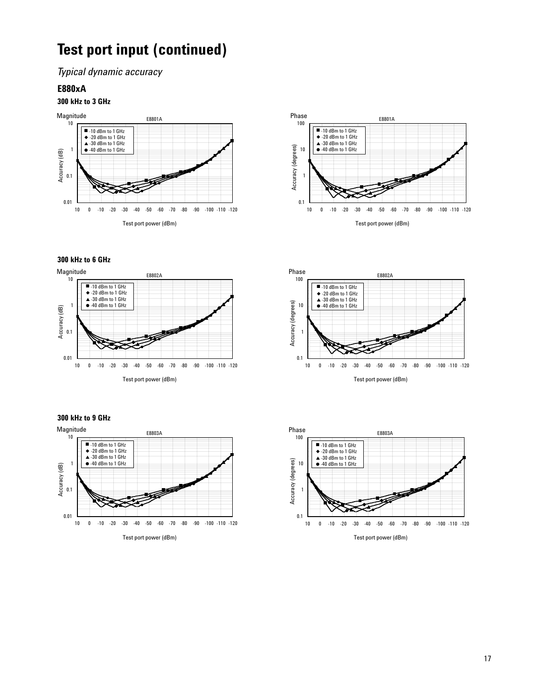*Typical dynamic accuracy*

### **E880xA**

#### **300 kHz to 3 GHz**





#### **300 kHz to 6 GHz**



#### **300 kHz to 9 GHz**





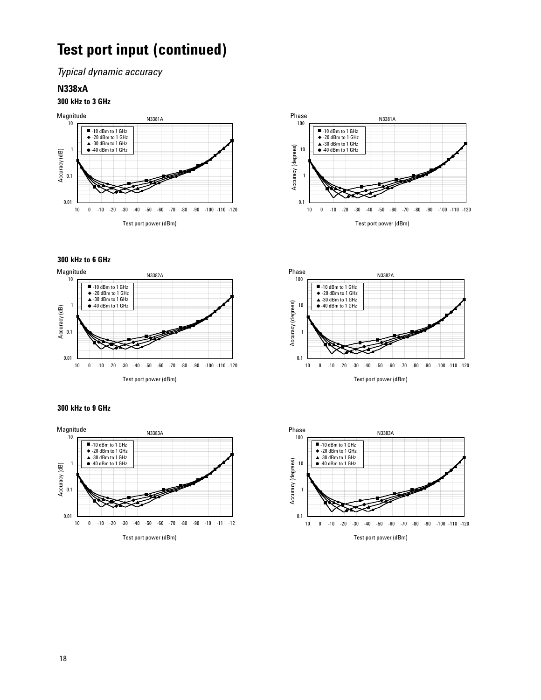*Typical dynamic accuracy*

#### **N338xA**

#### **300 kHz to 3 GHz**





#### **300 kHz to 6 GHz**



#### **300 kHz to 9 GHz**





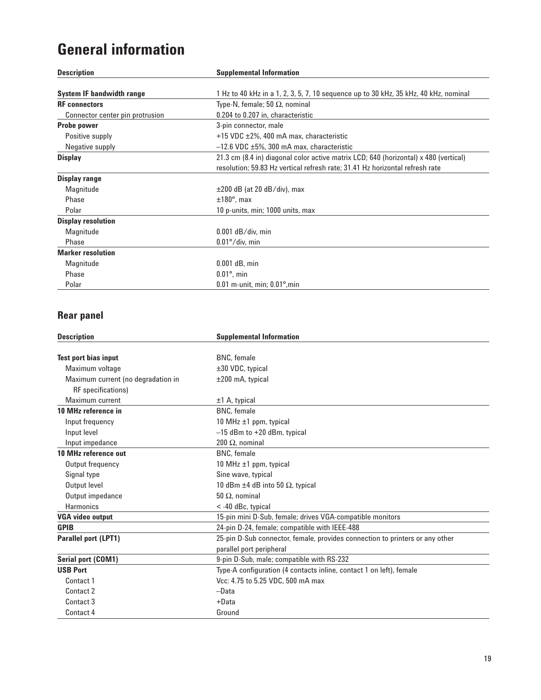# **General information**

| <b>Description</b>               | <b>Supplemental Information</b>                                                      |  |
|----------------------------------|--------------------------------------------------------------------------------------|--|
|                                  |                                                                                      |  |
| <b>System IF bandwidth range</b> | 1 Hz to 40 kHz in a 1, 2, 3, 5, 7, 10 sequence up to 30 kHz, 35 kHz, 40 kHz, nominal |  |
| <b>RF</b> connectors             | Type-N, female; 50 $\Omega$ , nominal                                                |  |
| Connector center pin protrusion  | 0.204 to 0.207 in, characteristic                                                    |  |
| <b>Probe power</b>               | 3-pin connector, male                                                                |  |
| Positive supply                  | +15 VDC ±2%, 400 mA max, characteristic                                              |  |
| Negative supply                  | $-12.6$ VDC $\pm 5\%$ , 300 mA max, characteristic                                   |  |
| <b>Display</b>                   | 21.3 cm (8.4 in) diagonal color active matrix LCD; 640 (horizontal) x 480 (vertical) |  |
|                                  | resolution; 59.83 Hz vertical refresh rate; 31.41 Hz horizontal refresh rate         |  |
| Display range                    |                                                                                      |  |
| Magnitude                        | $\pm 200$ dB (at 20 dB/div), max                                                     |  |
| Phase                            | $±180^\circ$ , max                                                                   |  |
| Polar                            | 10 p-units, min; 1000 units, max                                                     |  |
| <b>Display resolution</b>        |                                                                                      |  |
| Magnitude                        | $0.001$ dB/div, min                                                                  |  |
| Phase                            | $0.01^{\circ}/$ div, min                                                             |  |
| <b>Marker resolution</b>         |                                                                                      |  |
| Magnitude                        | $0.001$ dB, min                                                                      |  |
| Phase                            | $0.01^\circ$ , min                                                                   |  |
| Polar                            | $0.01$ m-unit, min; $0.01^\circ$ , min                                               |  |

## **Rear panel**

| <b>Description</b>                 | <b>Supplemental Information</b>                                              |
|------------------------------------|------------------------------------------------------------------------------|
|                                    |                                                                              |
| <b>Test port bias input</b>        | <b>BNC</b> , female                                                          |
| Maximum voltage                    | ±30 VDC, typical                                                             |
| Maximum current (no degradation in | $±200$ mA, typical                                                           |
| RF specifications)                 |                                                                              |
| Maximum current                    | $±1$ A, typical                                                              |
| 10 MHz reference in                | <b>BNC</b> , female                                                          |
| Input frequency                    | 10 MHz $\pm$ 1 ppm, typical                                                  |
| Input level                        | $-15$ dBm to $+20$ dBm, typical                                              |
| Input impedance                    | 200 $\Omega$ , nominal                                                       |
| 10 MHz reference out               | <b>BNC</b> , female                                                          |
| Output frequency                   | 10 MHz $\pm$ 1 ppm, typical                                                  |
| Signal type                        | Sine wave, typical                                                           |
| Output level                       | 10 dBm $\pm$ 4 dB into 50 $\Omega$ , typical                                 |
| Output impedance                   | 50 $\Omega$ , nominal                                                        |
| <b>Harmonics</b>                   | $<$ -40 dBc, typical                                                         |
| <b>VGA video output</b>            | 15-pin mini D-Sub, female; drives VGA-compatible monitors                    |
| <b>GPIB</b>                        | 24-pin D-24, female; compatible with IEEE-488                                |
| Parallel port (LPT1)               | 25-pin D-Sub connector, female, provides connection to printers or any other |
|                                    | parallel port peripheral                                                     |
| Serial port (COM1)                 | 9-pin D-Sub, male; compatible with RS-232                                    |
| <b>USB Port</b>                    | Type-A configuration (4 contacts inline, contact 1 on left), female          |
| Contact 1                          | Vcc: 4.75 to 5.25 VDC, 500 mA max                                            |
| Contact 2                          | -Data                                                                        |
| Contact 3                          | $+$ Data                                                                     |
| Contact 4                          | Ground                                                                       |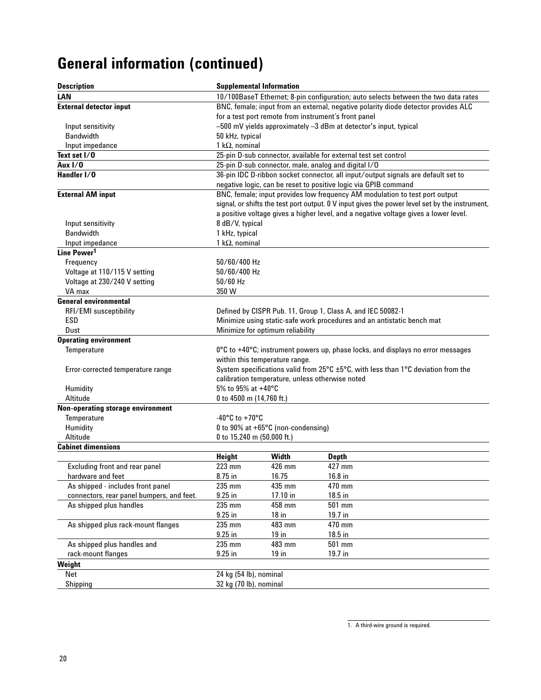# **General information (continued)**

| <b>Description</b>                        |                                                                                    | <b>Supplemental Information</b>                 |                                                                                                                                                      |  |
|-------------------------------------------|------------------------------------------------------------------------------------|-------------------------------------------------|------------------------------------------------------------------------------------------------------------------------------------------------------|--|
| LAN                                       |                                                                                    |                                                 | 10/100BaseT Ethernet; 8-pin configuration; auto selects between the two data rates                                                                   |  |
| <b>External detector input</b>            | BNC, female; input from an external, negative polarity diode detector provides ALC |                                                 |                                                                                                                                                      |  |
|                                           | for a test port remote from instrument's front panel                               |                                                 |                                                                                                                                                      |  |
| Input sensitivity                         |                                                                                    |                                                 | -500 mV yields approximately -3 dBm at detector's input, typical                                                                                     |  |
| <b>Bandwidth</b>                          | 50 kHz, typical                                                                    |                                                 |                                                                                                                                                      |  |
| Input impedance                           | 1 k $\Omega$ , nominal                                                             |                                                 |                                                                                                                                                      |  |
| Text set I/0                              |                                                                                    |                                                 | 25-pin D-sub connector, available for external test set control                                                                                      |  |
| Aux $1/0$                                 |                                                                                    |                                                 | 25-pin D-sub connector, male, analog and digital I/O                                                                                                 |  |
| Handler I/0                               |                                                                                    |                                                 | 36-pin IDC D-ribbon socket connector, all input/output signals are default set to<br>negative logic, can be reset to positive logic via GPIB command |  |
| <b>External AM input</b>                  |                                                                                    |                                                 | BNC, female; input provides low frequency AM modulation to test port output                                                                          |  |
|                                           |                                                                                    |                                                 | signal, or shifts the test port output. 0 V input gives the power level set by the instrument,                                                       |  |
|                                           |                                                                                    |                                                 | a positive voltage gives a higher level, and a negative voltage gives a lower level.                                                                 |  |
| Input sensitivity                         | 8 dB/V, typical                                                                    |                                                 |                                                                                                                                                      |  |
| <b>Bandwidth</b>                          | 1 kHz, typical                                                                     |                                                 |                                                                                                                                                      |  |
| Input impedance                           | 1 k $\Omega$ , nominal                                                             |                                                 |                                                                                                                                                      |  |
| Line Power <sup>1</sup>                   |                                                                                    |                                                 |                                                                                                                                                      |  |
| Frequency                                 | 50/60/400 Hz                                                                       |                                                 |                                                                                                                                                      |  |
| Voltage at 110/115 V setting              | 50/60/400 Hz                                                                       |                                                 |                                                                                                                                                      |  |
| Voltage at 230/240 V setting              | $50/60$ Hz                                                                         |                                                 |                                                                                                                                                      |  |
| VA max                                    | 350 W                                                                              |                                                 |                                                                                                                                                      |  |
| <b>General environmental</b>              |                                                                                    |                                                 |                                                                                                                                                      |  |
|                                           |                                                                                    |                                                 |                                                                                                                                                      |  |
| RFI/EMI susceptibility                    |                                                                                    |                                                 | Defined by CISPR Pub. 11, Group 1, Class A, and IEC 50082-1                                                                                          |  |
| ESD                                       |                                                                                    |                                                 | Minimize using static-safe work procedures and an antistatic bench mat                                                                               |  |
| Dust                                      |                                                                                    | Minimize for optimum reliability                |                                                                                                                                                      |  |
| <b>Operating environment</b>              |                                                                                    |                                                 |                                                                                                                                                      |  |
| Temperature                               | 0°C to +40°C; instrument powers up, phase locks, and displays no error messages    |                                                 |                                                                                                                                                      |  |
|                                           |                                                                                    | within this temperature range.                  |                                                                                                                                                      |  |
| Error-corrected temperature range         |                                                                                    |                                                 | System specifications valid from 25 $\degree$ C $\pm$ 5 $\degree$ C, with less than 1 $\degree$ C deviation from the                                 |  |
|                                           |                                                                                    | calibration temperature, unless otherwise noted |                                                                                                                                                      |  |
| Humidity                                  | 5% to 95% at +40°C                                                                 |                                                 |                                                                                                                                                      |  |
| Altitude                                  | 0 to 4500 m (14,760 ft.)                                                           |                                                 |                                                                                                                                                      |  |
| Non-operating storage environment         |                                                                                    |                                                 |                                                                                                                                                      |  |
| Temperature                               | -40 $^{\circ}$ C to +70 $^{\circ}$ C                                               |                                                 |                                                                                                                                                      |  |
| Humidity                                  |                                                                                    | 0 to 90% at +65°C (non-condensing)              |                                                                                                                                                      |  |
| Altitude                                  | 0 to 15,240 m (50,000 ft.)                                                         |                                                 |                                                                                                                                                      |  |
| <b>Cabinet dimensions</b>                 |                                                                                    |                                                 |                                                                                                                                                      |  |
|                                           | <b>Height</b>                                                                      | Width                                           | <b>Depth</b>                                                                                                                                         |  |
| <b>Excluding front and rear panel</b>     | 223 mm                                                                             | 426 mm                                          | 427 mm                                                                                                                                               |  |
| hardware and feet                         | 8.75 in                                                                            | 16.75                                           | 16.8 in                                                                                                                                              |  |
| As shipped - includes front panel         | 235 mm                                                                             | 435 mm                                          | 470 mm                                                                                                                                               |  |
| connectors, rear panel bumpers, and feet. | $9.25$ in                                                                          | 17.10 in                                        | 18.5 in                                                                                                                                              |  |
| As shipped plus handles                   | 235 mm                                                                             | 458 mm                                          | 501 mm                                                                                                                                               |  |
|                                           | $9.25$ in                                                                          | $18$ in                                         | 19.7 in                                                                                                                                              |  |
| As shipped plus rack-mount flanges        | 235 mm                                                                             | 483 mm                                          | 470 mm                                                                                                                                               |  |
|                                           | $9.25$ in                                                                          | $19$ in                                         | 18.5 in                                                                                                                                              |  |
| As shipped plus handles and               | 235 mm                                                                             | 483 mm                                          | 501 mm                                                                                                                                               |  |
| rack-mount flanges                        | $9.25$ in                                                                          | $19$ in                                         | 19.7 in                                                                                                                                              |  |
| Weight                                    |                                                                                    |                                                 |                                                                                                                                                      |  |
| Net                                       | 24 kg (54 lb), nominal                                                             |                                                 |                                                                                                                                                      |  |
| Shipping                                  |                                                                                    | 32 kg (70 lb), nominal                          |                                                                                                                                                      |  |
|                                           |                                                                                    |                                                 |                                                                                                                                                      |  |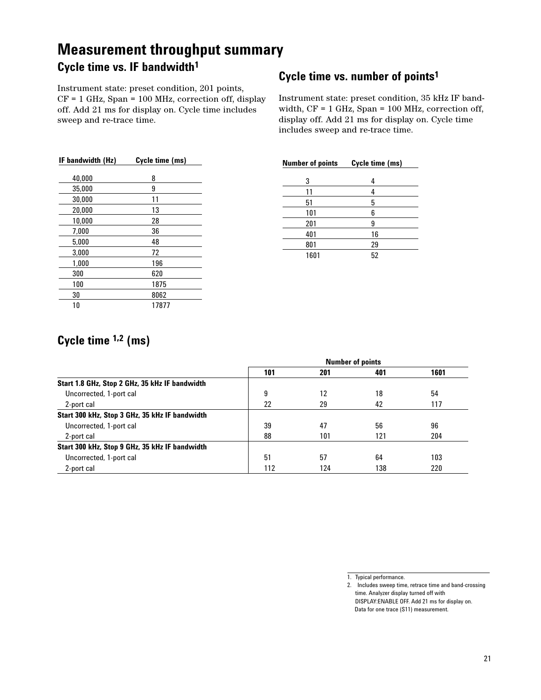## **Cycle time vs. IF bandwidth1 Measurement throughput summary**

Instrument state: preset condition, 201 points, CF = 1 GHz, Span = 100 MHz, correction off, display off. Add 21 ms for display on. Cycle time includes sweep and re-trace time.

| IF bandwidth (Hz) | Cycle time (ms) |
|-------------------|-----------------|
| 40,000            | 8               |
| 35,000            | 9               |
| 30,000            | 11              |
| 20,000            | 13              |
| 10,000            | 28              |
| 7,000             | 36              |
| 5.000             | 48              |
| 3.000             | 72              |
| 1,000             | 196             |
| 300               | 620             |
| 100               | 1875            |
| 30                | 8062            |
| 10                | 17877           |

## **Cycle time vs. number of points1**

Instrument state: preset condition, 35 kHz IF bandwidth, CF = 1 GHz, Span = 100 MHz, correction off, display off. Add 21 ms for display on. Cycle time includes sweep and re-trace time.

| <b>Number of points</b> | Cycle time (ms) |
|-------------------------|-----------------|
| 3                       | 4               |
| 11                      | 4               |
| 51                      | 5               |
| 101                     | 6               |
| 201                     | 9               |
| 401                     | 16              |
| 801                     | 29              |
| 1601                    | 52              |

## **Cycle time 1,2 (ms)**

|                                                | <b>Number of points</b> |     |     |      |
|------------------------------------------------|-------------------------|-----|-----|------|
|                                                | 101                     | 201 | 401 | 1601 |
| Start 1.8 GHz, Stop 2 GHz, 35 kHz IF bandwidth |                         |     |     |      |
| Uncorrected, 1-port cal                        | 9                       | 12  | 18  | 54   |
| 2-port cal                                     | 22                      | 29  | 42  | 117  |
| Start 300 kHz, Stop 3 GHz, 35 kHz IF bandwidth |                         |     |     |      |
| Uncorrected, 1-port cal                        | 39                      | 47  | 56  | 96   |
| 2-port cal                                     | 88                      | 101 | 121 | 204  |
| Start 300 kHz, Stop 9 GHz, 35 kHz IF bandwidth |                         |     |     |      |
| Uncorrected, 1-port cal                        | 51                      | 57  | 64  | 103  |
| 2-port cal                                     | 112                     | 124 | 138 | 220  |

1. Typical performance.

<sup>2.</sup> Includes sweep time, retrace time and band-crossing time. Analyzer display turned off with DISPLAY:ENABLE OFF. Add 21 ms for display on. Data for one trace (S11) measurement.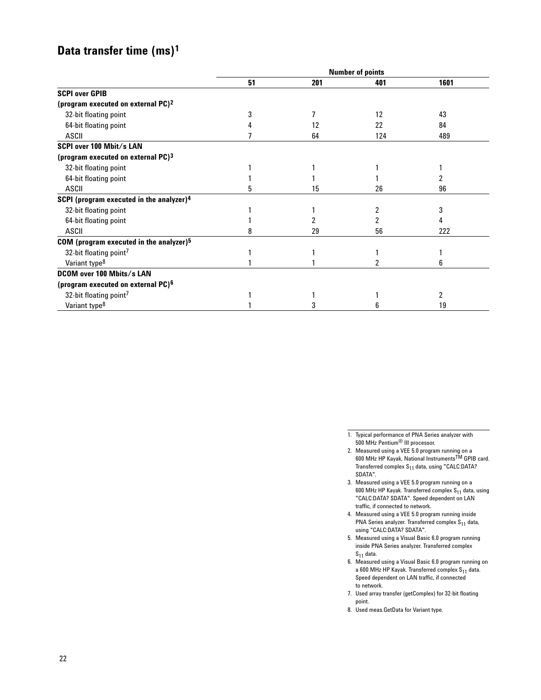## **Data transfer time (ms)1**

| <b>Number of points</b> |     |     |      |
|-------------------------|-----|-----|------|
| 51                      | 201 | 401 | 1601 |
|                         |     |     |      |
|                         |     |     |      |
|                         |     | 12  | 43   |
|                         | 12  | 22  | 84   |
|                         | 64  | 124 | 489  |
|                         |     |     |      |
|                         |     |     |      |
|                         |     |     |      |
|                         |     |     |      |
| h                       | 15  | 26  | 96   |
|                         |     |     |      |
|                         |     |     | 3    |
|                         |     |     | 4    |
| 8                       | 29  | 56  | 222  |
|                         |     |     |      |
|                         |     |     |      |
|                         |     |     | 6    |
|                         |     |     |      |
|                         |     |     |      |
|                         |     |     | 2    |
|                         |     | h   | 19   |
|                         |     |     |      |

1. Typical performance of PNA Series analyzer with 500 MHz Pentium® III processor.

- 2. Measured using a VEE 5.0 program running on a 600 MHz HP Kayak, National InstrumentsTM GPIB card. Transferred complex  $S_{11}$  data, using "CALC:DATA? SDATA".
- 3. Measured using a VEE 5.0 program running on a 600 MHz HP Kayak. Transferred complex  $S_{11}$  data, using "CALC:DATA? SDATA". Speed dependent on LAN traffic, if connected to network.
- 4. Measured using a VEE 5.0 program running inside PNA Series analyzer. Transferred complex  $S_{11}$  data, using "CALC:DATA? SDATA".
- 5. Measured using a Visual Basic 6.0 program running inside PNA Series analyzer. Transferred complex  $S_{11}$  data.
- 6. Measured using a Visual Basic 6.0 program running on a 600 MHz HP Kayak. Transferred complex S<sub>11</sub> data. Speed dependent on LAN traffic, if connected to network.
- 7. Used array transfer (getComplex) for 32-bit floating point.
- 8. Used meas.GetData for Variant type.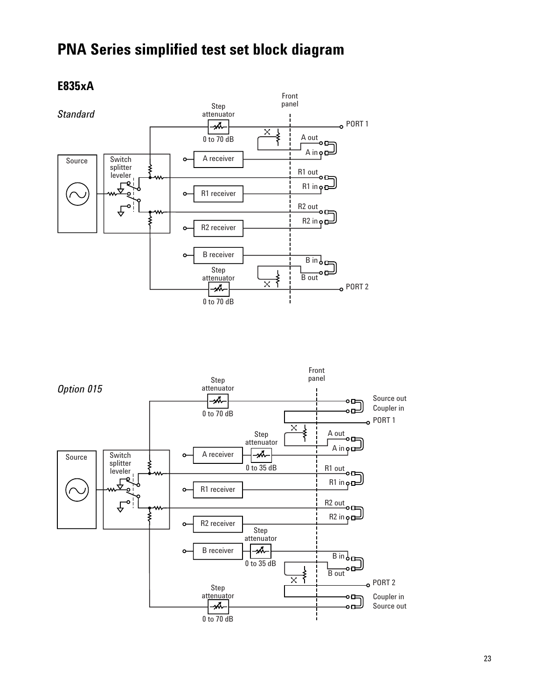# **PNA Series simplified test set block diagram**

## **E835xA**



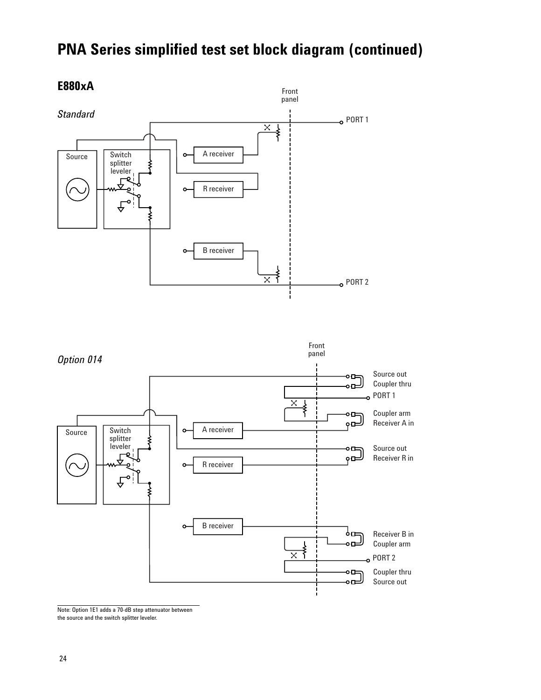# **PNA Series simplified test set block diagram (continued)**



**E880xA**

Note: Option 1E1 adds a 70-dB step attenuator between the source and the switch splitter leveler.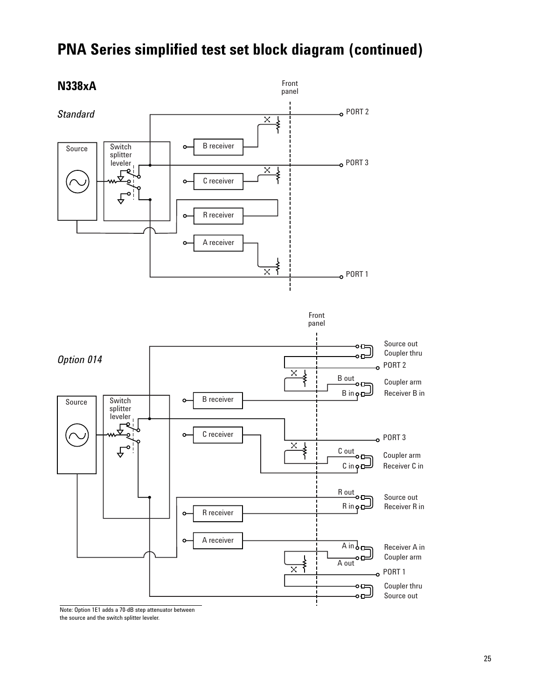

## **PNA Series simplified test set block diagram (continued)**

Note: Option 1E1 adds a 70-dB step attenuator between the source and the switch splitter leveler.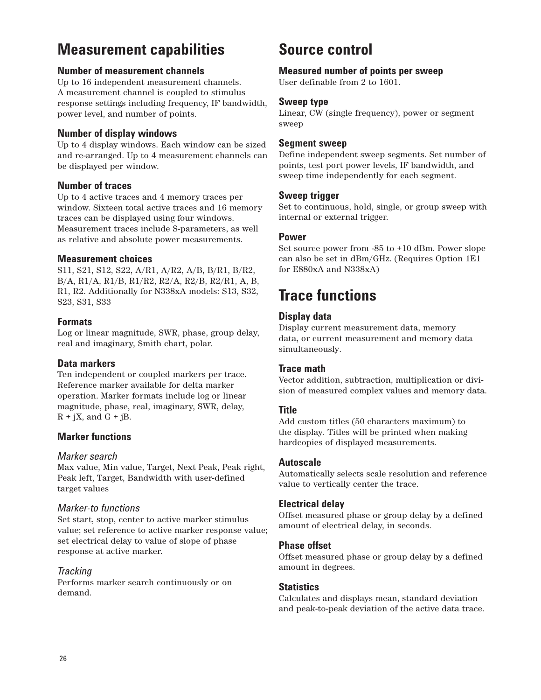## **Measurement capabilities**

#### **Number of measurement channels**

Up to 16 independent measurement channels. A measurement channel is coupled to stimulus response settings including frequency, IF bandwidth, power level, and number of points.

### **Number of display windows**

Up to 4 display windows. Each window can be sized and re-arranged. Up to 4 measurement channels can be displayed per window.

### **Number of traces**

Up to 4 active traces and 4 memory traces per window. Sixteen total active traces and 16 memory traces can be displayed using four windows. Measurement traces include S-parameters, as well as relative and absolute power measurements.

### **Measurement choices**

S11, S21, S12, S22, A/R1, A/R2, A/B, B/R1, B/R2, B/A, R1/A, R1/B, R1/R2, R2/A, R2/B, R2/R1, A, B, R1, R2. Additionally for N338xA models: S13, S32, S23, S31, S33

### **Formats**

Log or linear magnitude, SWR, phase, group delay, real and imaginary, Smith chart, polar.

### **Data markers**

Ten independent or coupled markers per trace. Reference marker available for delta marker operation. Marker formats include log or linear magnitude, phase, real, imaginary, SWR, delay,  $R + jX$ , and  $G + jB$ .

### **Marker functions**

#### *Marker search*

Max value, Min value, Target, Next Peak, Peak right, Peak left, Target, Bandwidth with user-defined target values

### *Marker-to functions*

Set start, stop, center to active marker stimulus value; set reference to active marker response value; set electrical delay to value of slope of phase response at active marker.

### *Tracking*

Performs marker search continuously or on demand.

## **Source control**

**Measured number of points per sweep**

User definable from 2 to 1601.

### **Sweep type**

Linear, CW (single frequency), power or segment sweep

### **Segment sweep**

Define independent sweep segments. Set number of points, test port power levels, IF bandwidth, and sweep time independently for each segment.

### **Sweep trigger**

Set to continuous, hold, single, or group sweep with internal or external trigger.

### **Power**

Set source power from -85 to +10 dBm. Power slope can also be set in dBm/GHz. (Requires Option 1E1 for E880xA and N338xA)

# **Trace functions**

### **Display data**

Display current measurement data, memory data, or current measurement and memory data simultaneously.

### **Trace math**

Vector addition, subtraction, multiplication or division of measured complex values and memory data.

### **Title**

Add custom titles (50 characters maximum) to the display. Titles will be printed when making hardcopies of displayed measurements.

#### **Autoscale**

Automatically selects scale resolution and reference value to vertically center the trace.

### **Electrical delay**

Offset measured phase or group delay by a defined amount of electrical delay, in seconds.

### **Phase offset**

Offset measured phase or group delay by a defined amount in degrees.

### **Statistics**

Calculates and displays mean, standard deviation and peak-to-peak deviation of the active data trace.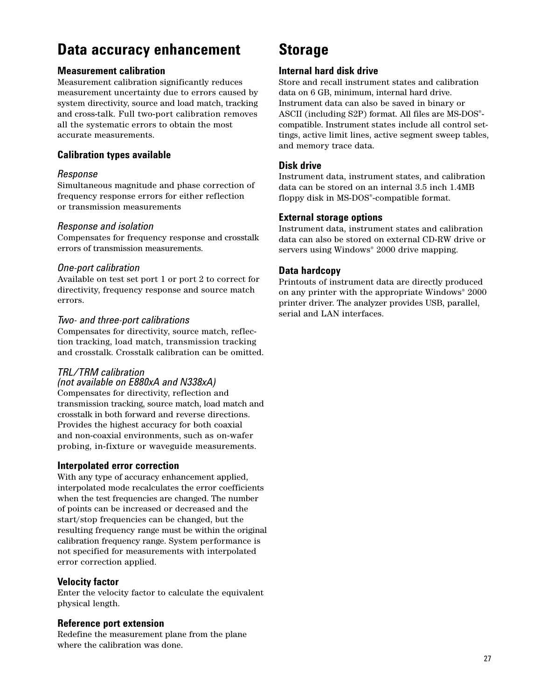## **Data accuracy enhancement**

### **Measurement calibration**

Measurement calibration significantly reduces measurement uncertainty due to errors caused by system directivity, source and load match, tracking and cross-talk. Full two-port calibration removes all the systematic errors to obtain the most accurate measurements.

### **Calibration types available**

### *Response*

Simultaneous magnitude and phase correction of frequency response errors for either reflection or transmission measurements

### *Response and isolation*

Compensates for frequency response and crosstalk errors of transmission measurements.

### *One-port calibration*

Available on test set port 1 or port 2 to correct for directivity, frequency response and source match errors.

### *Two- and three-port calibrations*

Compensates for directivity, source match, reflection tracking, load match, transmission tracking and crosstalk. Crosstalk calibration can be omitted.

### *TRL/TRM calibration*

*(not available on E880xA and N338xA)* Compensates for directivity, reflection and transmission tracking, source match, load match and crosstalk in both forward and reverse directions. Provides the highest accuracy for both coaxial and non-coaxial environments, such as on-wafer

probing, in-fixture or waveguide measurements.

### **Interpolated error correction**

With any type of accuracy enhancement applied, interpolated mode recalculates the error coefficients when the test frequencies are changed. The number of points can be increased or decreased and the start/stop frequencies can be changed, but the resulting frequency range must be within the original calibration frequency range. System performance is not specified for measurements with interpolated error correction applied.

#### **Velocity factor**

Enter the velocity factor to calculate the equivalent physical length.

#### **Reference port extension**

Redefine the measurement plane from the plane where the calibration was done.

## **Storage**

### **Internal hard disk drive**

Store and recall instrument states and calibration data on 6 GB, minimum, internal hard drive. Instrument data can also be saved in binary or ASCII (including S2P) format. All files are MS-DOS® compatible. Instrument states include all control settings, active limit lines, active segment sweep tables, and memory trace data.

### **Disk drive**

Instrument data, instrument states, and calibration data can be stored on an internal 3.5 inch 1.4MB floppy disk in MS-DOS®-compatible format.

### **External storage options**

Instrument data, instrument states and calibration data can also be stored on external CD-RW drive or servers using Windows<sup>®</sup> 2000 drive mapping.

### **Data hardcopy**

Printouts of instrument data are directly produced on any printer with the appropriate Windows® 2000 printer driver. The analyzer provides USB, parallel, serial and LAN interfaces.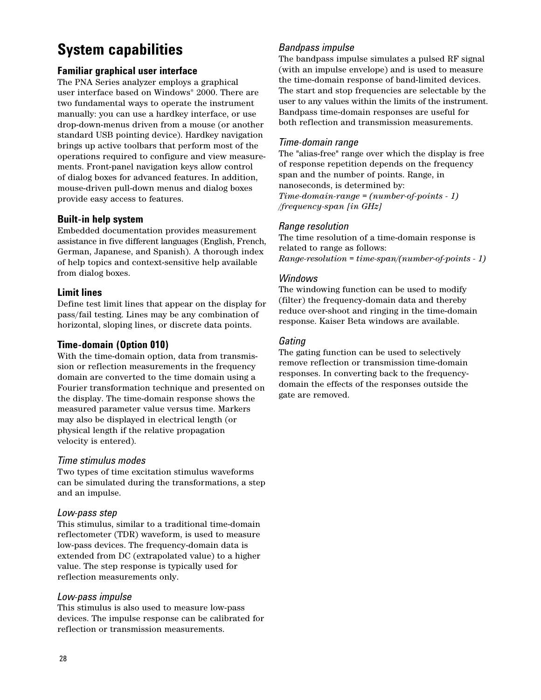# **System capabilities**

### **Familiar graphical user interface**

The PNA Series analyzer employs a graphical user interface based on Windows® 2000. There are two fundamental ways to operate the instrument manually: you can use a hardkey interface, or use drop-down-menus driven from a mouse (or another standard USB pointing device). Hardkey navigation brings up active toolbars that perform most of the operations required to configure and view measurements. Front-panel navigation keys allow control of dialog boxes for advanced features. In addition, mouse-driven pull-down menus and dialog boxes provide easy access to features.

### **Built-in help system**

Embedded documentation provides measurement assistance in five different languages (English, French, German, Japanese, and Spanish). A thorough index of help topics and context-sensitive help available from dialog boxes.

### **Limit lines**

Define test limit lines that appear on the display for pass/fail testing. Lines may be any combination of horizontal, sloping lines, or discrete data points.

### **Time-domain (Option 010)**

With the time-domain option, data from transmission or reflection measurements in the frequency domain are converted to the time domain using a Fourier transformation technique and presented on the display. The time-domain response shows the measured parameter value versus time. Markers may also be displayed in electrical length (or physical length if the relative propagation velocity is entered).

### *Time stimulus modes*

Two types of time excitation stimulus waveforms can be simulated during the transformations, a step and an impulse.

#### *Low-pass step*

This stimulus, similar to a traditional time-domain reflectometer (TDR) waveform, is used to measure low-pass devices. The frequency-domain data is extended from DC (extrapolated value) to a higher value. The step response is typically used for reflection measurements only.

#### *Low-pass impulse*

This stimulus is also used to measure low-pass devices. The impulse response can be calibrated for reflection or transmission measurements.

### *Bandpass impulse*

The bandpass impulse simulates a pulsed RF signal (with an impulse envelope) and is used to measure the time-domain response of band-limited devices. The start and stop frequencies are selectable by the user to any values within the limits of the instrument. Bandpass time-domain responses are useful for both reflection and transmission measurements.

#### *Time-domain range*

The "alias-free" range over which the display is free of response repetition depends on the frequency span and the number of points. Range, in nanoseconds, is determined by: *Time-domain-range = (number-of-points - 1) /frequency-span [in GHz]*

### *Range resolution*

The time resolution of a time-domain response is related to range as follows: *Range-resolution = time-span/(number-of-points - 1)*

### *Windows*

The windowing function can be used to modify (filter) the frequency-domain data and thereby reduce over-shoot and ringing in the time-domain response. Kaiser Beta windows are available.

### *Gating*

The gating function can be used to selectively remove reflection or transmission time-domain responses. In converting back to the frequencydomain the effects of the responses outside the gate are removed.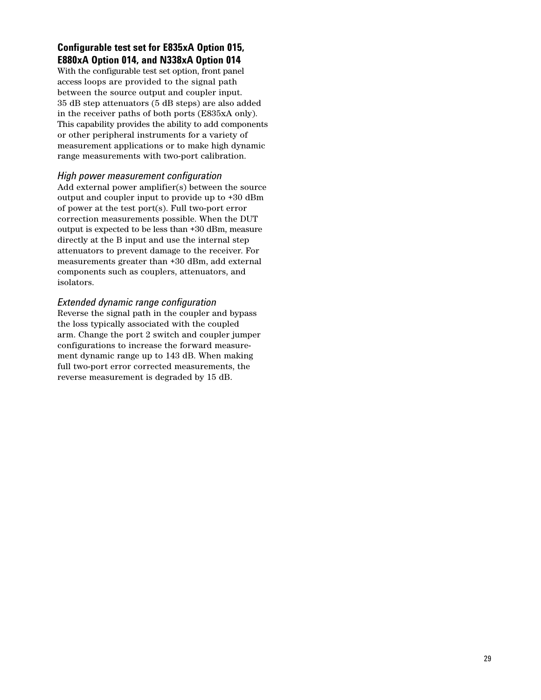## **Configurable test set for E835xA Option 015, E880xA Option 014, and N338xA Option 014**

With the configurable test set option, front panel access loops are provided to the signal path between the source output and coupler input. 35 dB step attenuators (5 dB steps) are also added in the receiver paths of both ports (E835xA only). This capability provides the ability to add components or other peripheral instruments for a variety of measurement applications or to make high dynamic range measurements with two-port calibration.

#### *High power measurement configuration*

Add external power amplifier(s) between the source output and coupler input to provide up to +30 dBm of power at the test port(s). Full two-port error correction measurements possible. When the DUT output is expected to be less than +30 dBm, measure directly at the B input and use the internal step attenuators to prevent damage to the receiver. For measurements greater than +30 dBm, add external components such as couplers, attenuators, and isolators.

#### *Extended dynamic range configuration*

Reverse the signal path in the coupler and bypass the loss typically associated with the coupled arm. Change the port 2 switch and coupler jumper configurations to increase the forward measurement dynamic range up to 143 dB. When making full two-port error corrected measurements, the reverse measurement is degraded by 15 dB.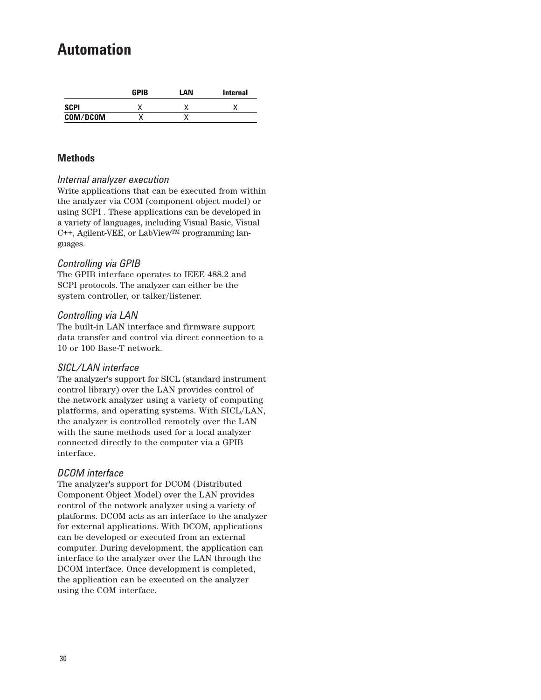## **Automation**

|             | <b>GPIB</b> | LAN | <b>Internal</b> |
|-------------|-------------|-----|-----------------|
| <b>SCPI</b> |             |     |                 |
| COM/DCOM    |             |     |                 |

### **Methods**

#### *Internal analyzer execution*

Write applications that can be executed from within the analyzer via COM (component object model) or using SCPI . These applications can be developed in a variety of languages, including Visual Basic, Visual C++, Agilent-VEE, or LabViewTM programming languages.

#### *Controlling via GPIB*

The GPIB interface operates to IEEE 488.2 and SCPI protocols. The analyzer can either be the system controller, or talker/listener.

#### *Controlling via LAN*

The built-in LAN interface and firmware support data transfer and control via direct connection to a 10 or 100 Base-T network.

#### *SICL/LAN interface*

The analyzer's support for SICL (standard instrument control library) over the LAN provides control of the network analyzer using a variety of computing platforms, and operating systems. With SICL/LAN, the analyzer is controlled remotely over the LAN with the same methods used for a local analyzer connected directly to the computer via a GPIB interface.

#### *DCOM interface*

The analyzer's support for DCOM (Distributed Component Object Model) over the LAN provides control of the network analyzer using a variety of platforms. DCOM acts as an interface to the analyzer for external applications. With DCOM, applications can be developed or executed from an external computer. During development, the application can interface to the analyzer over the LAN through the DCOM interface. Once development is completed, the application can be executed on the analyzer using the COM interface.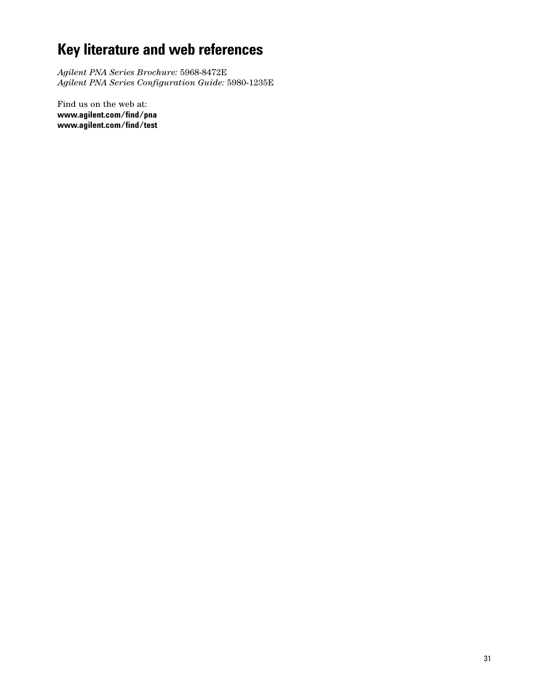# **Key literature and web references**

*Agilent PNA Series Brochure:* 5968-8472E *Agilent PNA Series Configuration Guide:* 5980-1235E

Find us on the web at: **www.agilent.com/find/pna www.agilent.com/find/test**